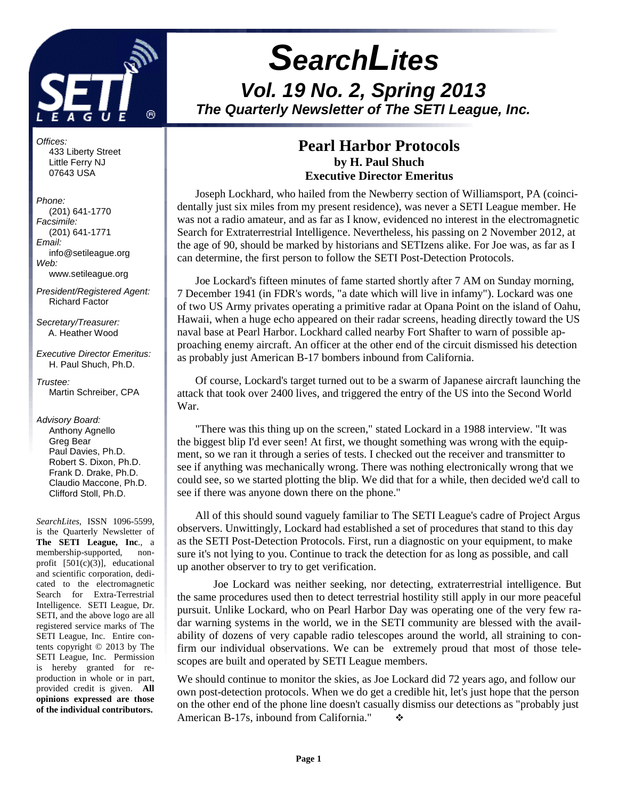

# **SearchLites Vol. 19 No. 2, Spring 2013 The Quarterly Newsletter of The SETI League, Inc.**

## **Pearl Harbor Protocols by H. Paul Shuch Executive Director Emeritus**

Joseph Lockhard, who hailed from the Newberry section of Williamsport, PA (coincidentally just six miles from my present residence), was never a SETI League member. He was not a radio amateur, and as far as I know, evidenced no interest in the electromagnetic Search for Extraterrestrial Intelligence. Nevertheless, his passing on 2 November 2012, at the age of 90, should be marked by historians and SETIzens alike. For Joe was, as far as I can determine, the first person to follow the SETI Post-Detection Protocols.

Joe Lockard's fifteen minutes of fame started shortly after 7 AM on Sunday morning, 7 December 1941 (in FDR's words, "a date which will live in infamy"). Lockard was one of two US Army privates operating a primitive radar at Opana Point on the island of Oahu, Hawaii, when a huge echo appeared on their radar screens, heading directly toward the US naval base at Pearl Harbor. Lockhard called nearby Fort Shafter to warn of possible approaching enemy aircraft. An officer at the other end of the circuit dismissed his detection as probably just American B-17 bombers inbound from California.

Of course, Lockard's target turned out to be a swarm of Japanese aircraft launching the attack that took over 2400 lives, and triggered the entry of the US into the Second World War.

"There was this thing up on the screen," stated Lockard in a 1988 interview. "It was the biggest blip I'd ever seen! At first, we thought something was wrong with the equipment, so we ran it through a series of tests. I checked out the receiver and transmitter to see if anything was mechanically wrong. There was nothing electronically wrong that we could see, so we started plotting the blip. We did that for a while, then decided we'd call to see if there was anyone down there on the phone."

All of this should sound vaguely familiar to The SETI League's cadre of Project Argus observers. Unwittingly, Lockard had established a set of procedures that stand to this day as the SETI Post-Detection Protocols. First, run a diagnostic on your equipment, to make sure it's not lying to you. Continue to track the detection for as long as possible, and call up another observer to try to get verification.

Joe Lockard was neither seeking, nor detecting, extraterrestrial intelligence. But the same procedures used then to detect terrestrial hostility still apply in our more peaceful pursuit. Unlike Lockard, who on Pearl Harbor Day was operating one of the very few radar warning systems in the world, we in the SETI community are blessed with the availability of dozens of very capable radio telescopes around the world, all straining to confirm our individual observations. We can be extremely proud that most of those telescopes are built and operated by SETI League members.

We should continue to monitor the skies, as Joe Lockard did 72 years ago, and follow our own post-detection protocols. When we do get a credible hit, let's just hope that the person on the other end of the phone line doesn't casually dismiss our detections as "probably just American B-17s, inbound from California."  $\cdot \cdot$ 

Offices: 433 Liberty Street Little Ferry NJ 07643 USA

Phone: (201) 641-1770 Facsimile: (201) 641-1771 Email: info@setileague.org Web: www.setileague.org

President/Registered Agent: Richard Factor

Secretary/Treasurer: A. Heather Wood

Executive Director Emeritus: H. Paul Shuch, Ph.D.

Trustee<sup>.</sup> Martin Schreiber, CPA

Advisory Board: Anthony Agnello Greg Bear Paul Davies, Ph.D. Robert S. Dixon, Ph.D. Frank D. Drake, Ph.D. Claudio Maccone, Ph.D. Clifford Stoll, Ph.D.

*SearchLites*, ISSN 1096-5599, is the Quarterly Newsletter of **The SETI League, Inc**., a membership-supported, nonprofit  $[501(c)(3)]$ , educational and scientific corporation, dedicated to the electromagnetic Search for Extra-Terrestrial Intelligence. SETI League, Dr. SETI, and the above logo are all registered service marks of The SETI League, Inc. Entire contents copyright © 2013 by The SETI League, Inc. Permission is hereby granted for reproduction in whole or in part, provided credit is given. **All opinions expressed are those of the individual contributors.**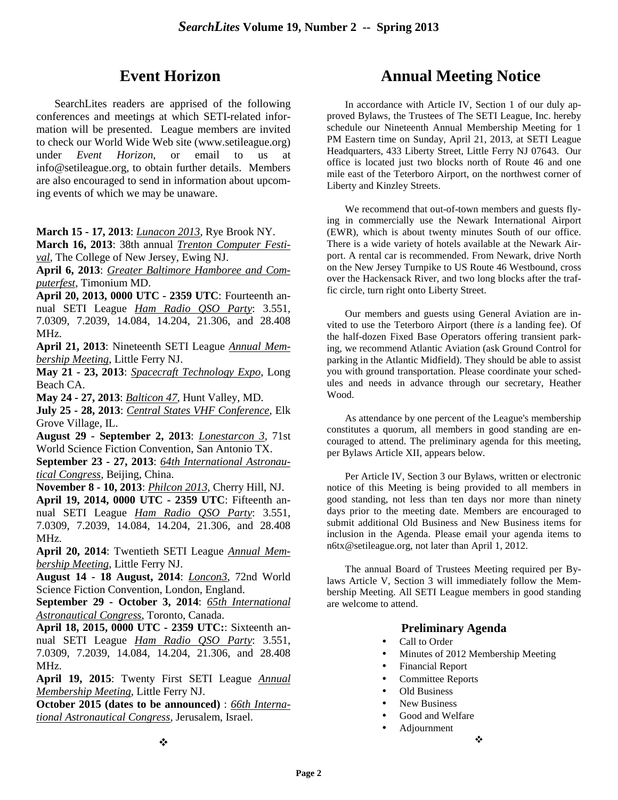# **Event Horizon**

SearchLites readers are apprised of the following conferences and meetings at which SETI-related information will be presented. League members are invited to check our World Wide Web site (www.setileague.org) under *Event Horizon*, or email to us at info@setileague.org, to obtain further details. Members are also encouraged to send in information about upcoming events of which we may be unaware.

**March 15 - 17, 2013**: *Lunacon 2013*, Rye Brook NY.

**March 16, 2013**: 38th annual *Trenton Computer Festival*, The College of New Jersey, Ewing NJ.

**April 6, 2013**: *Greater Baltimore Hamboree and Computerfest*, Timonium MD.

**April 20, 2013, 0000 UTC - 2359 UTC**: Fourteenth annual SETI League *Ham Radio QSO Party*: 3.551, 7.0309, 7.2039, 14.084, 14.204, 21.306, and 28.408 MHz.

**April 21, 2013**: Nineteenth SETI League *Annual Membership Meeting*, Little Ferry NJ.

**May 21 - 23, 2013**: *Spacecraft Technology Expo*, Long Beach CA.

**May 24 - 27, 2013**: *Balticon 47*, Hunt Valley, MD.

**July 25 - 28, 2013**: *Central States VHF Conference*, Elk Grove Village, IL.

**August 29 - September 2, 2013**: *Lonestarcon 3*, 71st World Science Fiction Convention, San Antonio TX.

**September 23 - 27, 2013**: *64th International Astronautical Congress*, Beijing, China.

**November 8 - 10, 2013**: *Philcon 2013*, Cherry Hill, NJ.

**April 19, 2014, 0000 UTC - 2359 UTC**: Fifteenth annual SETI League *Ham Radio QSO Party*: 3.551, 7.0309, 7.2039, 14.084, 14.204, 21.306, and 28.408 MHz.

**April 20, 2014**: Twentieth SETI League *Annual Membership Meeting*, Little Ferry NJ.

**August 14 - 18 August, 2014**: *Loncon3*, 72nd World Science Fiction Convention, London, England.

**September 29 - October 3, 2014**: *65th International Astronautical Congress*, Toronto, Canada.

**April 18, 2015, 0000 UTC - 2359 UTC:**: Sixteenth annual SETI League *Ham Radio QSO Party*: 3.551, 7.0309, 7.2039, 14.084, 14.204, 21.306, and 28.408 MHz.

**April 19, 2015**: Twenty First SETI League *Annual Membership Meeting*, Little Ferry NJ.

**October 2015 (dates to be announced)** : *66th International Astronautical Congress*, Jerusalem, Israel.

# **Annual Meeting Notice**

In accordance with Article IV, Section 1 of our duly approved Bylaws, the Trustees of The SETI League, Inc. hereby schedule our Nineteenth Annual Membership Meeting for 1 PM Eastern time on Sunday, April 21, 2013, at SETI League Headquarters, 433 Liberty Street, Little Ferry NJ 07643. Our office is located just two blocks north of Route 46 and one mile east of the Teterboro Airport, on the northwest corner of Liberty and Kinzley Streets.

We recommend that out-of-town members and guests flying in commercially use the Newark International Airport (EWR), which is about twenty minutes South of our office. There is a wide variety of hotels available at the Newark Airport. A rental car is recommended. From Newark, drive North on the New Jersey Turnpike to US Route 46 Westbound, cross over the Hackensack River, and two long blocks after the traffic circle, turn right onto Liberty Street.

Our members and guests using General Aviation are invited to use the Teterboro Airport (there *is* a landing fee). Of the half-dozen Fixed Base Operators offering transient parking, we recommend Atlantic Aviation (ask Ground Control for parking in the Atlantic Midfield). They should be able to assist you with ground transportation. Please coordinate your schedules and needs in advance through our secretary, Heather Wood.

As attendance by one percent of the League's membership constitutes a quorum, all members in good standing are encouraged to attend. The preliminary agenda for this meeting, per Bylaws Article XII, appears below.

Per Article IV, Section 3 our Bylaws, written or electronic notice of this Meeting is being provided to all members in good standing, not less than ten days nor more than ninety days prior to the meeting date. Members are encouraged to submit additional Old Business and New Business items for inclusion in the Agenda. Please email your agenda items to n6tx@setileague.org, not later than April 1, 2012.

The annual Board of Trustees Meeting required per Bylaws Article V, Section 3 will immediately follow the Membership Meeting. All SETI League members in good standing are welcome to attend.

## **Preliminary Agenda**

- Call to Order
- Minutes of 2012 Membership Meeting
- Financial Report
- Committee Reports
- Old Business
- New Business
- Good and Welfare • Adjournment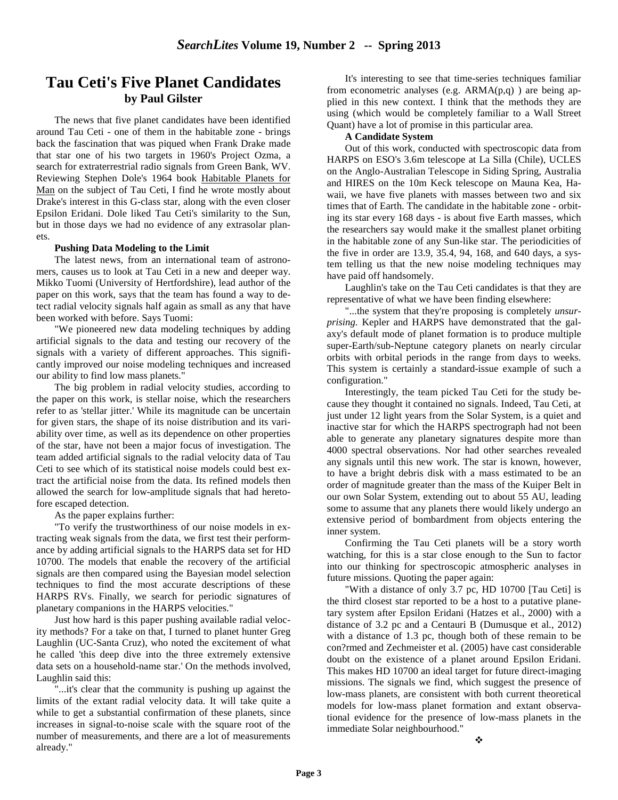## **Tau Ceti's Five Planet Candidates by Paul Gilster**

The news that five planet candidates have been identified around Tau Ceti - one of them in the habitable zone - brings back the fascination that was piqued when Frank Drake made that star one of his two targets in 1960's Project Ozma, a search for extraterrestrial radio signals from Green Bank, WV. Reviewing Stephen Dole's 1964 book Habitable Planets for Man on the subject of Tau Ceti, I find he wrote mostly about Drake's interest in this G-class star, along with the even closer Epsilon Eridani. Dole liked Tau Ceti's similarity to the Sun, but in those days we had no evidence of any extrasolar planets.

#### **Pushing Data Modeling to the Limit**

The latest news, from an international team of astronomers, causes us to look at Tau Ceti in a new and deeper way. Mikko Tuomi (University of Hertfordshire), lead author of the paper on this work, says that the team has found a way to detect radial velocity signals half again as small as any that have been worked with before. Says Tuomi:

"We pioneered new data modeling techniques by adding artificial signals to the data and testing our recovery of the signals with a variety of different approaches. This significantly improved our noise modeling techniques and increased our ability to find low mass planets."

The big problem in radial velocity studies, according to the paper on this work, is stellar noise, which the researchers refer to as 'stellar jitter.' While its magnitude can be uncertain for given stars, the shape of its noise distribution and its variability over time, as well as its dependence on other properties of the star, have not been a major focus of investigation. The team added artificial signals to the radial velocity data of Tau Ceti to see which of its statistical noise models could best extract the artificial noise from the data. Its refined models then allowed the search for low-amplitude signals that had heretofore escaped detection.

As the paper explains further:

"To verify the trustworthiness of our noise models in extracting weak signals from the data, we first test their performance by adding artificial signals to the HARPS data set for HD 10700. The models that enable the recovery of the artificial signals are then compared using the Bayesian model selection techniques to find the most accurate descriptions of these HARPS RVs. Finally, we search for periodic signatures of planetary companions in the HARPS velocities."

Just how hard is this paper pushing available radial velocity methods? For a take on that, I turned to planet hunter Greg Laughlin (UC-Santa Cruz), who noted the excitement of what he called 'this deep dive into the three extremely extensive data sets on a household-name star.' On the methods involved, Laughlin said this:

"...it's clear that the community is pushing up against the limits of the extant radial velocity data. It will take quite a while to get a substantial confirmation of these planets, since increases in signal-to-noise scale with the square root of the number of measurements, and there are a lot of measurements already."

It's interesting to see that time-series techniques familiar from econometric analyses (e.g.  $ARMA(p,q)$ ) are being applied in this new context. I think that the methods they are using (which would be completely familiar to a Wall Street Quant) have a lot of promise in this particular area.

#### **A Candidate System**

Out of this work, conducted with spectroscopic data from HARPS on ESO's 3.6m telescope at La Silla (Chile), UCLES on the Anglo-Australian Telescope in Siding Spring, Australia and HIRES on the 10m Keck telescope on Mauna Kea, Hawaii, we have five planets with masses between two and six times that of Earth. The candidate in the habitable zone - orbiting its star every 168 days - is about five Earth masses, which the researchers say would make it the smallest planet orbiting in the habitable zone of any Sun-like star. The periodicities of the five in order are 13.9, 35.4, 94, 168, and 640 days, a system telling us that the new noise modeling techniques may have paid off handsomely.

Laughlin's take on the Tau Ceti candidates is that they are representative of what we have been finding elsewhere:

"...the system that they're proposing is completely *unsurprising.* Kepler and HARPS have demonstrated that the galaxy's default mode of planet formation is to produce multiple super-Earth/sub-Neptune category planets on nearly circular orbits with orbital periods in the range from days to weeks. This system is certainly a standard-issue example of such a configuration."

Interestingly, the team picked Tau Ceti for the study because they thought it contained no signals. Indeed, Tau Ceti, at just under 12 light years from the Solar System, is a quiet and inactive star for which the HARPS spectrograph had not been able to generate any planetary signatures despite more than 4000 spectral observations. Nor had other searches revealed any signals until this new work. The star is known, however, to have a bright debris disk with a mass estimated to be an order of magnitude greater than the mass of the Kuiper Belt in our own Solar System, extending out to about 55 AU, leading some to assume that any planets there would likely undergo an extensive period of bombardment from objects entering the inner system.

Confirming the Tau Ceti planets will be a story worth watching, for this is a star close enough to the Sun to factor into our thinking for spectroscopic atmospheric analyses in future missions. Quoting the paper again:

"With a distance of only 3.7 pc, HD 10700 [Tau Ceti] is the third closest star reported to be a host to a putative planetary system after Epsilon Eridani (Hatzes et al., 2000) with a distance of 3.2 pc and a Centauri B (Dumusque et al., 2012) with a distance of 1.3 pc, though both of these remain to be con?rmed and Zechmeister et al. (2005) have cast considerable doubt on the existence of a planet around Epsilon Eridani. This makes HD 10700 an ideal target for future direct-imaging missions. The signals we find, which suggest the presence of low-mass planets, are consistent with both current theoretical models for low-mass planet formation and extant observational evidence for the presence of low-mass planets in the immediate Solar neighbourhood."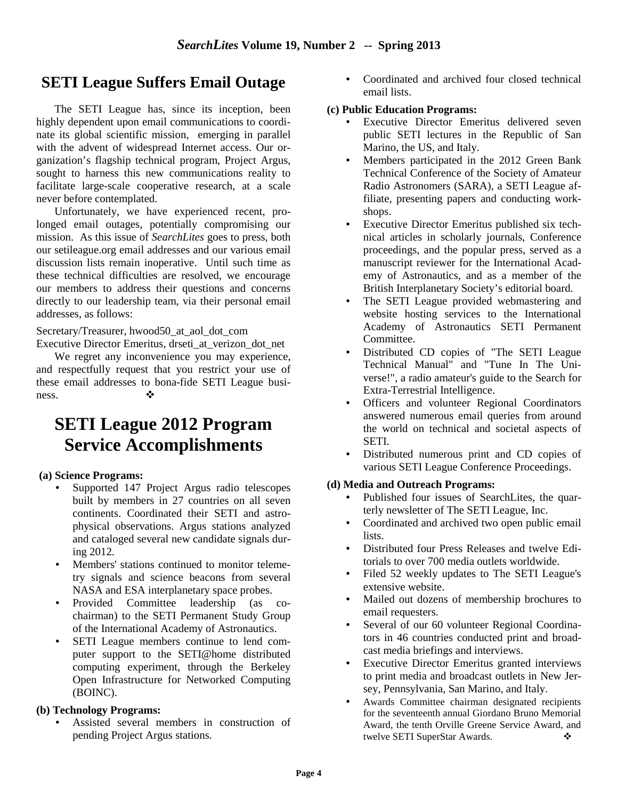# **SETI League Suffers Email Outage**

 The SETI League has, since its inception, been highly dependent upon email communications to coordinate its global scientific mission, emerging in parallel with the advent of widespread Internet access. Our organization's flagship technical program, Project Argus, sought to harness this new communications reality to facilitate large-scale cooperative research, at a scale never before contemplated.

 Unfortunately, we have experienced recent, prolonged email outages, potentially compromising our mission. As this issue of *SearchLites* goes to press, both our setileague.org email addresses and our various email discussion lists remain inoperative. Until such time as these technical difficulties are resolved, we encourage our members to address their questions and concerns directly to our leadership team, via their personal email addresses, as follows:

Secretary/Treasurer, hwood50\_at\_aol\_dot\_com Executive Director Emeritus, drseti\_at\_verizon\_dot\_net

 We regret any inconvenience you may experience, and respectfully request that you restrict your use of these email addresses to bona-fide SETI League business. ❖

# **SETI League 2012 Program Service Accomplishments**

### **(a) Science Programs:**

- Supported 147 Project Argus radio telescopes built by members in 27 countries on all seven continents. Coordinated their SETI and astrophysical observations. Argus stations analyzed and cataloged several new candidate signals during 2012.
- Members' stations continued to monitor telemetry signals and science beacons from several NASA and ESA interplanetary space probes.
- Provided Committee leadership (as cochairman) to the SETI Permanent Study Group of the International Academy of Astronautics.
- SETI League members continue to lend computer support to the SETI@home distributed computing experiment, through the Berkeley Open Infrastructure for Networked Computing (BOINC).

### **(b) Technology Programs:**

• Assisted several members in construction of pending Project Argus stations.

• Coordinated and archived four closed technical email lists.

### **(c) Public Education Programs:**

- Executive Director Emeritus delivered seven public SETI lectures in the Republic of San Marino, the US, and Italy.
- Members participated in the 2012 Green Bank Technical Conference of the Society of Amateur Radio Astronomers (SARA), a SETI League affiliate, presenting papers and conducting workshops.
- Executive Director Emeritus published six technical articles in scholarly journals, Conference proceedings, and the popular press, served as a manuscript reviewer for the International Academy of Astronautics, and as a member of the British Interplanetary Society's editorial board.
- The SETI League provided webmastering and website hosting services to the International Academy of Astronautics SETI Permanent Committee.
- Distributed CD copies of "The SETI League Technical Manual" and "Tune In The Universe!", a radio amateur's guide to the Search for Extra-Terrestrial Intelligence.
- Officers and volunteer Regional Coordinators answered numerous email queries from around the world on technical and societal aspects of SETI.
- Distributed numerous print and CD copies of various SETI League Conference Proceedings.

### **(d) Media and Outreach Programs:**

- Published four issues of SearchLites, the quarterly newsletter of The SETI League, Inc.
- Coordinated and archived two open public email lists.
- Distributed four Press Releases and twelve Editorials to over 700 media outlets worldwide.
- Filed 52 weekly updates to The SETI League's extensive website.
- Mailed out dozens of membership brochures to email requesters.
- Several of our 60 volunteer Regional Coordinators in 46 countries conducted print and broadcast media briefings and interviews.
- Executive Director Emeritus granted interviews to print media and broadcast outlets in New Jersey, Pennsylvania, San Marino, and Italy.
- Awards Committee chairman designated recipients for the seventeenth annual Giordano Bruno Memorial Award, the tenth Orville Greene Service Award, and twelve SETI SuperStar Awards.  $\bullet$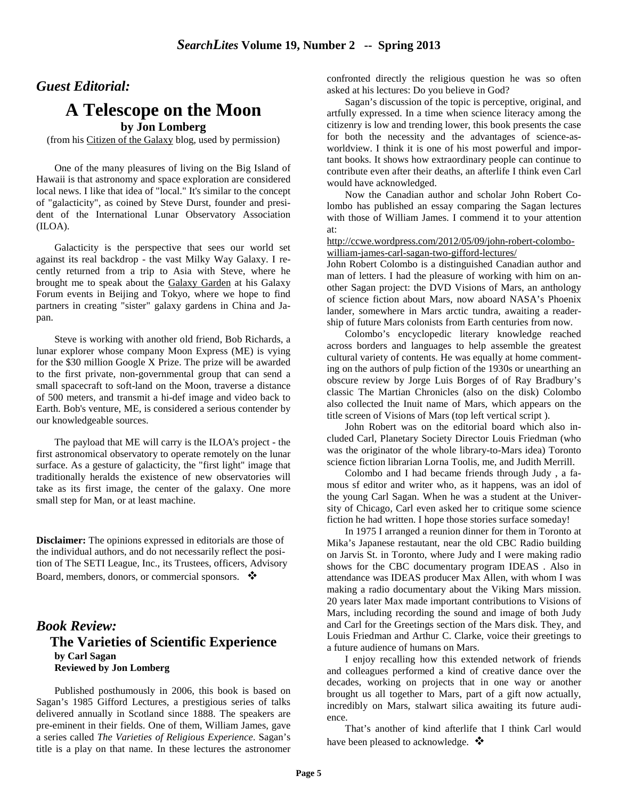## *Guest Editorial:*

## **A Telescope on the Moon**

**by Jon Lomberg**

(from his Citizen of the Galaxy blog, used by permission)

One of the many pleasures of living on the Big Island of Hawaii is that astronomy and space exploration are considered local news. I like that idea of "local." It's similar to the concept of "galacticity", as coined by Steve Durst, founder and president of the International Lunar Observatory Association (ILOA).

Galacticity is the perspective that sees our world set against its real backdrop - the vast Milky Way Galaxy. I recently returned from a trip to Asia with Steve, where he brought me to speak about the Galaxy Garden at his Galaxy Forum events in Beijing and Tokyo, where we hope to find partners in creating "sister" galaxy gardens in China and Japan.

Steve is working with another old friend, Bob Richards, a lunar explorer whose company Moon Express (ME) is vying for the \$30 million Google X Prize. The prize will be awarded to the first private, non-governmental group that can send a small spacecraft to soft-land on the Moon, traverse a distance of 500 meters, and transmit a hi-def image and video back to Earth. Bob's venture, ME, is considered a serious contender by our knowledgeable sources.

The payload that ME will carry is the ILOA's project - the first astronomical observatory to operate remotely on the lunar surface. As a gesture of galacticity, the "first light" image that traditionally heralds the existence of new observatories will take as its first image, the center of the galaxy. One more small step for Man, or at least machine.

**Disclaimer:** The opinions expressed in editorials are those of the individual authors, and do not necessarily reflect the position of The SETI League, Inc., its Trustees, officers, Advisory Board, members, donors, or commercial sponsors.  $\bullet$ 

## *Book Review:* **The Varieties of Scientific Experience by Carl Sagan Reviewed by Jon Lomberg**

Published posthumously in 2006, this book is based on Sagan's 1985 Gifford Lectures, a prestigious series of talks delivered annually in Scotland since 1888. The speakers are pre-eminent in their fields. One of them, William James, gave a series called *The Varieties of Religious Experience*. Sagan's title is a play on that name. In these lectures the astronomer confronted directly the religious question he was so often asked at his lectures: Do you believe in God?

Sagan's discussion of the topic is perceptive, original, and artfully expressed. In a time when science literacy among the citizenry is low and trending lower, this book presents the case for both the necessity and the advantages of science-asworldview. I think it is one of his most powerful and important books. It shows how extraordinary people can continue to contribute even after their deaths, an afterlife I think even Carl would have acknowledged.

Now the Canadian author and scholar John Robert Colombo has published an essay comparing the Sagan lectures with those of William James. I commend it to your attention at:

http://ccwe.wordpress.com/2012/05/09/john-robert-colombowilliam-james-carl-sagan-two-gifford-lectures/

John Robert Colombo is a distinguished Canadian author and man of letters. I had the pleasure of working with him on another Sagan project: the DVD Visions of Mars, an anthology of science fiction about Mars, now aboard NASA's Phoenix lander, somewhere in Mars arctic tundra, awaiting a readership of future Mars colonists from Earth centuries from now.

Colombo's encyclopedic literary knowledge reached across borders and languages to help assemble the greatest cultural variety of contents. He was equally at home commenting on the authors of pulp fiction of the 1930s or unearthing an obscure review by Jorge Luis Borges of of Ray Bradbury's classic The Martian Chronicles (also on the disk) Colombo also collected the Inuit name of Mars, which appears on the title screen of Visions of Mars (top left vertical script ).

John Robert was on the editorial board which also included Carl, Planetary Society Director Louis Friedman (who was the originator of the whole library-to-Mars idea) Toronto science fiction librarian Lorna Toolis, me, and Judith Merrill.

Colombo and I had became friends through Judy , a famous sf editor and writer who, as it happens, was an idol of the young Carl Sagan. When he was a student at the University of Chicago, Carl even asked her to critique some science fiction he had written. I hope those stories surface someday!

In 1975 I arranged a reunion dinner for them in Toronto at Mika's Japanese restautant, near the old CBC Radio building on Jarvis St. in Toronto, where Judy and I were making radio shows for the CBC documentary program IDEAS . Also in attendance was IDEAS producer Max Allen, with whom I was making a radio documentary about the Viking Mars mission. 20 years later Max made important contributions to Visions of Mars, including recording the sound and image of both Judy and Carl for the Greetings section of the Mars disk. They, and Louis Friedman and Arthur C. Clarke, voice their greetings to a future audience of humans on Mars.

I enjoy recalling how this extended network of friends and colleagues performed a kind of creative dance over the decades, working on projects that in one way or another brought us all together to Mars, part of a gift now actually, incredibly on Mars, stalwart silica awaiting its future audience.

That's another of kind afterlife that I think Carl would have been pleased to acknowledge.  $\mathbf{\hat{\cdot}}$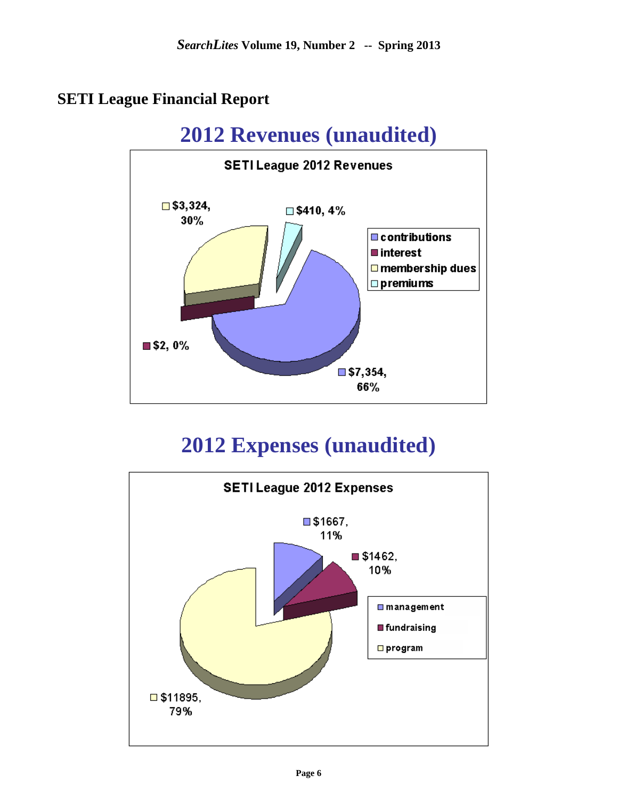# **SETI League Financial Report**



# **2012 Expenses (unaudited)**

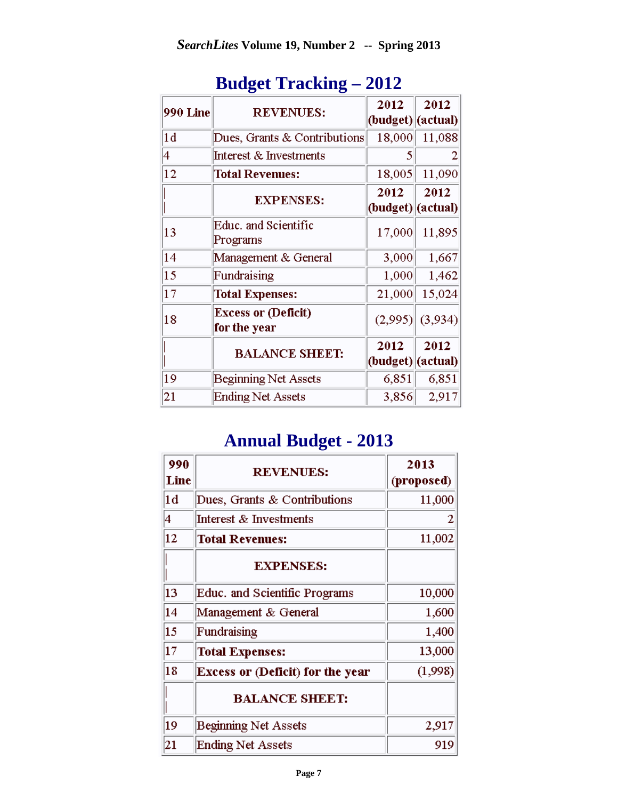| 990 Line       | <b>REVENUES:</b>                           | 2012<br>(budget)  (actual) | 2012    |
|----------------|--------------------------------------------|----------------------------|---------|
| $\vert\rm{1d}$ | Dues, Grants & Contributions               | 18,000                     | 11,088  |
| 4              | Interest & Investments                     | 5                          |         |
| $ 12\rangle$   | <b>Total Revenues:</b>                     | 18,005                     | 11,090  |
|                | <b>EXPENSES:</b>                           | 2012<br>(budget)  (actual) | 2012    |
| 13             | Educ. and Scientific<br>Programs           | 17,000                     | 11,895  |
| 14             | Management & General                       | 3,000                      | 1,667   |
| $ 15\rangle$   | Fundraising                                | 1,000                      | 1,462   |
| $ 17\>$        | <b>Total Expenses:</b>                     | 21,000                     | 15,024  |
| 18             | <b>Excess or (Deficit)</b><br>for the year | (2,995)                    | (3,934) |
|                | <b>BALANCE SHEET:</b>                      | 2012<br>(budget)  (actual) | 2012    |
| 19             | <b>Beginning Net Assets</b>                | 6,851                      | 6,851   |
| 21             | <b>Ending Net Assets</b>                   | 3,856                      | 2,917   |

# **Budget Tracking – 2012**

# **Annual Budget - 2013**

| 990<br>Line | <b>REVENUES:</b>                        | 2013<br>(proposed) |
|-------------|-----------------------------------------|--------------------|
| 1d          | Dues, Grants & Contributions            | 11,000             |
| 4           | Interest & Investments                  | 2                  |
| 12          | <b>Total Revenues:</b>                  | 11,002             |
|             | <b>EXPENSES:</b>                        |                    |
| 13          | Educ. and Scientific Programs           | 10,000             |
| 14          | Management & General                    | 1,600              |
| 15          | Fundraising                             | 1,400              |
| 17          | <b>Total Expenses:</b>                  | 13,000             |
| 18          | <b>Excess or (Deficit) for the year</b> | (1,998)            |
|             | <b>BALANCE SHEET:</b>                   |                    |
| 19          | <b>Beginning Net Assets</b>             | 2,917              |
| 21          | <b>Ending Net Assets</b>                | 919                |